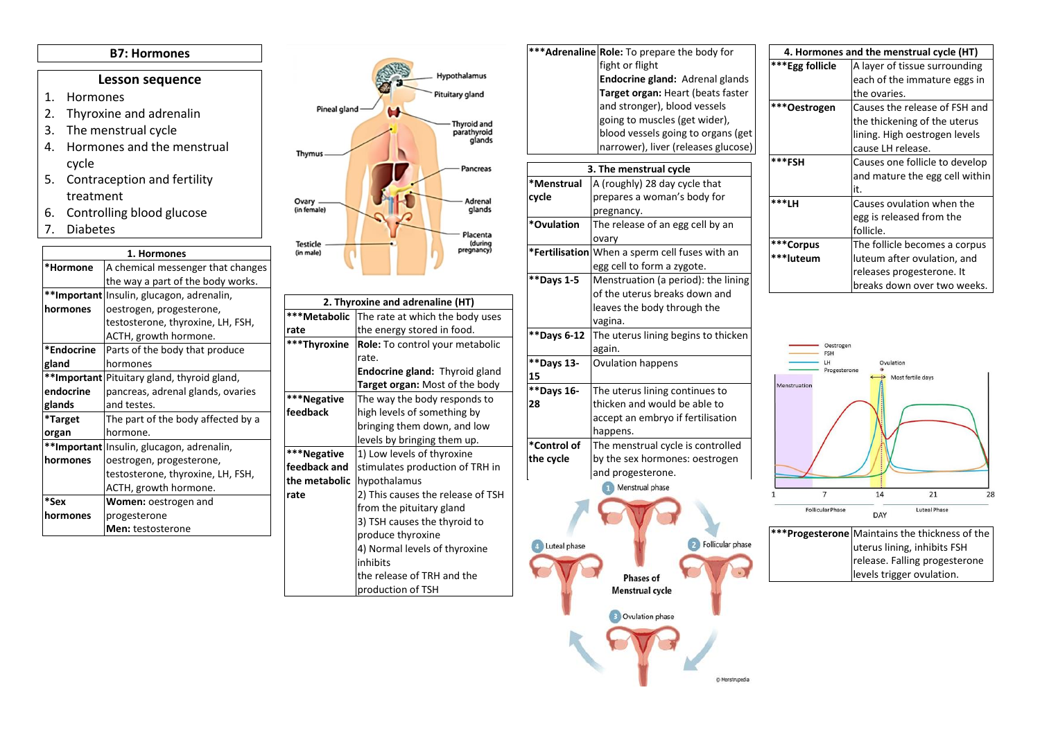## **B7: Hormones**

## **Lesson sequence**

- 1. Hormones
- 2. Thyroxine and adrenalin
- 3. The menstrual cycle
- 4. Hormones and the menstrual cycle
- 5. Contraception and fertility treatment
- 6. Controlling blood glucose
- 7. Diabetes

| 1. Hormones |                                             |
|-------------|---------------------------------------------|
| *Hormone    | A chemical messenger that changes           |
|             | the way a part of the body works.           |
|             | **Important Insulin, glucagon, adrenalin,   |
| hormones    | oestrogen, progesterone,                    |
|             | testosterone, thyroxine, LH, FSH,           |
|             | ACTH, growth hormone.                       |
| *Endocrine  | Parts of the body that produce              |
| gland       | hormones                                    |
|             | **Important Pituitary gland, thyroid gland, |
| endocrine   | pancreas, adrenal glands, ovaries           |
| glands      | and testes.                                 |
| *Target     | The part of the body affected by a          |
| organ       | hormone.                                    |
|             | **Important Insulin, glucagon, adrenalin,   |
| hormones    | oestrogen, progesterone,                    |
|             | testosterone, thyroxine, LH, FSH,           |
|             | ACTH, growth hormone.                       |
| *Sex        | Women: oestrogen and                        |
| hormones    | progesterone                                |
|             | Men: testosterone                           |



| 2. Thyroxine and adrenaline (HT) |                                       |  |
|----------------------------------|---------------------------------------|--|
| ***Metabolic                     | The rate at which the body uses       |  |
| rate                             | the energy stored in food.            |  |
| ***Thyroxine                     | Role: To control your metabolic       |  |
|                                  | rate.                                 |  |
|                                  | <b>Endocrine gland:</b> Thyroid gland |  |
|                                  | Target organ: Most of the body        |  |
| ***Negative                      | The way the body responds to          |  |
| feedback                         | high levels of something by           |  |
|                                  | bringing them down, and low           |  |
|                                  | levels by bringing them up.           |  |
| ***Negative                      | 1) Low levels of thyroxine            |  |
| feedback and                     | stimulates production of TRH in       |  |
| the metabolic                    | hypothalamus                          |  |
| rate                             | 2) This causes the release of TSH     |  |
|                                  | from the pituitary gland              |  |
|                                  | 3) TSH causes the thyroid to          |  |
|                                  | produce thyroxine                     |  |
|                                  | 4) Normal levels of thyroxine         |  |
|                                  | inhibits                              |  |
|                                  | the release of TRH and the            |  |
|                                  | production of TSH                     |  |



| 4. Hormones and the menstrual cycle (HT) |                                |  |
|------------------------------------------|--------------------------------|--|
| ***Egg follicle                          | A layer of tissue surrounding  |  |
|                                          | each of the immature eggs in   |  |
|                                          | the ovaries.                   |  |
| ***Oestrogen                             | Causes the release of FSH and  |  |
|                                          | the thickening of the uterus   |  |
|                                          | lining. High oestrogen levels  |  |
|                                          | cause LH release.              |  |
| ***FSH                                   | Causes one follicle to develop |  |
|                                          | and mature the egg cell within |  |
|                                          | it.                            |  |
| ***LH                                    | Causes ovulation when the      |  |
|                                          | egg is released from the       |  |
|                                          | follicle.                      |  |
| ***Corpus                                | The follicle becomes a corpus  |  |
| ***luteum                                | luteum after ovulation, and    |  |
|                                          | releases progesterone. It      |  |
|                                          | breaks down over two weeks.    |  |



| ***Progesterone Maintains the thickness of the               |
|--------------------------------------------------------------|
|                                                              |
| uterus lining, inhibits FSH<br>release. Falling progesterone |
| levels trigger ovulation.                                    |